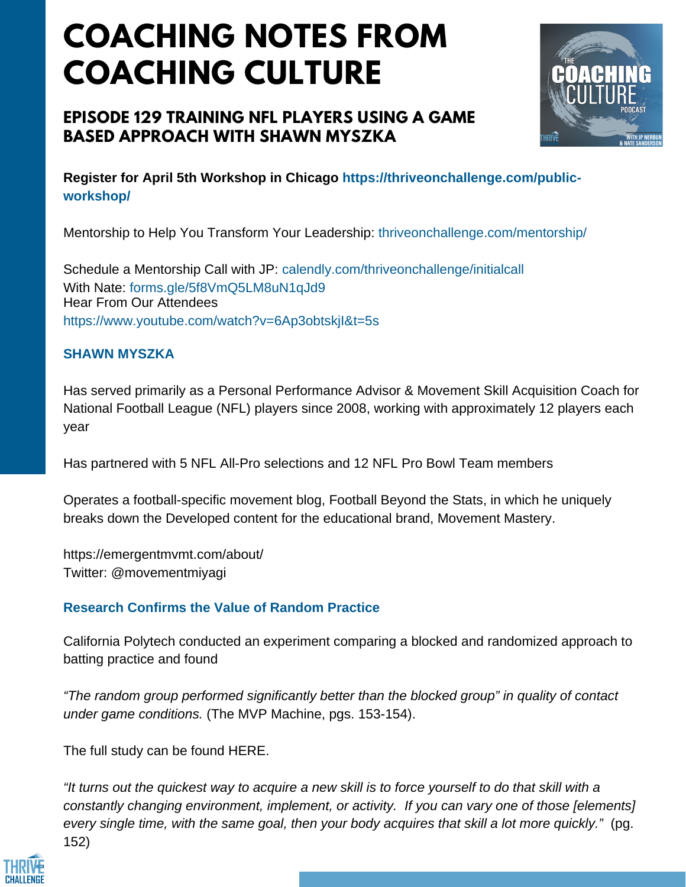# **COACHING NOTES FROM COACHING CULTURE**

# **EPISODE 129 TRAINING NFL PLAYERS USING A GAME BASED APPROACH WITH SHAWN MYSZKA**



**Register for April 5th Workshop in Chicago https://thriveonchallenge.com/publicworkshop/**

Mentorship to Help You Transform Your Leadership: thriveonchallenge.com/mentorship/

Schedule a Mentorship Call with JP: calendly.com/thriveonchallenge/initialcall With Nate: forms.gle/5f8VmO5LM8uN1qJd9 Hear From Our Attendees https://www.youtube.com/watch?v=6Ap3obtskjI&t=5s

#### **SHAWN MYSZKA**

Has served primarily as a Personal Performance Advisor & Movement Skill Acquisition Coach for National Football League (NFL) players since 2008, working with approximately 12 players each year

Has partnered with 5 NFL All-Pro selections and 12 NFL Pro Bowl Team members

Operates a football-specific movement blog, Football Beyond the Stats, in which he uniquely breaks down the Developed content for the educational brand, Movement Mastery.

https://emergentmvmt.com/about/ Twitter: @movementmiyagi

## **Research Confirms the Value of Random Practice**

California Polytech conducted an experiment comparing a blocked and randomized approach to batting practice and found

*"The random group performed significantly better than the blocked group" in quality of contact under game conditions.* (The MVP Machine, pgs. 153-154).

The full study can be found HERE.

"It turns out the quickest way to acquire a new skill is to force yourself to do that skill with a *constantly changing environment, implement, or activity. If you can vary one of those [elements] every single time, with the same goal, then your body acquires that skill a lot more quickly."* (pg. 152)

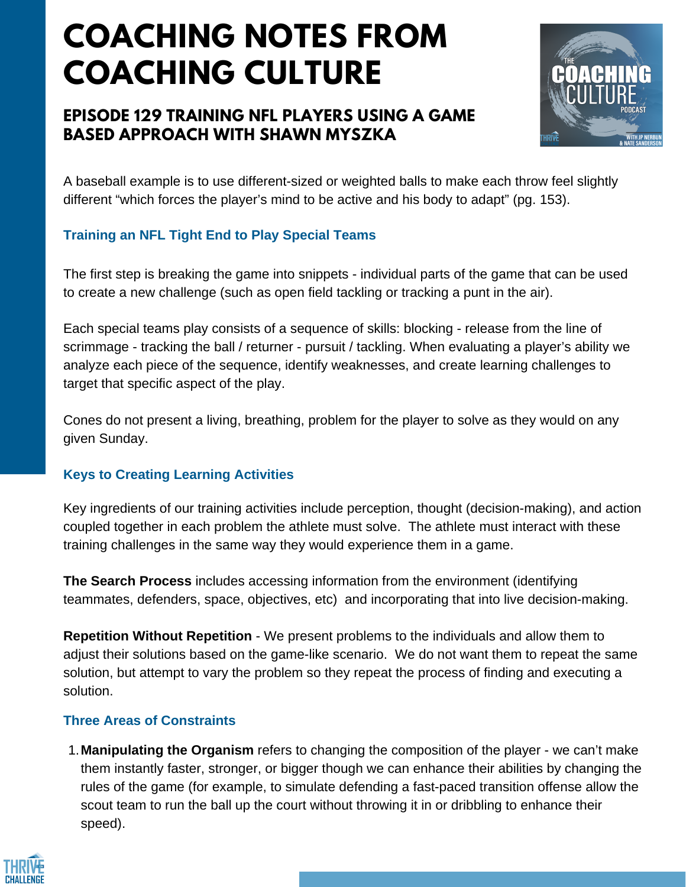# **COACHING NOTES FROM COACHING CULTURE**

# **EPISODE 129 TRAINING NFL PLAYERS USING A GAME BASED APPROACH WITH SHAWN MYSZKA**



A baseball example is to use different-sized or weighted balls to make each throw feel slightly different "which forces the player's mind to be active and his body to adapt" (pg. 153).

## **Training an NFL Tight End to Play Special Teams**

The first step is breaking the game into snippets - individual parts of the game that can be used to create a new challenge (such as open field tackling or tracking a punt in the air).

Each special teams play consists of a sequence of skills: blocking - release from the line of scrimmage - tracking the ball / returner - pursuit / tackling. When evaluating a player's ability we analyze each piece of the sequence, identify weaknesses, and create learning challenges to target that specific aspect of the play.

Cones do not present a living, breathing, problem for the player to solve as they would on any given Sunday.

## **Keys to Creating Learning Activities**

Key ingredients of our training activities include perception, thought (decision-making), and action coupled together in each problem the athlete must solve. The athlete must interact with these training challenges in the same way they would experience them in a game.

**The Search Process** includes accessing information from the environment (identifying teammates, defenders, space, objectives, etc) and incorporating that into live decision-making.

**Repetition Without Repetition** - We present problems to the individuals and allow them to adjust their solutions based on the game-like scenario. We do not want them to repeat the same solution, but attempt to vary the problem so they repeat the process of finding and executing a solution.

### **Three Areas of Constraints**

**Manipulating the Organism** refers to changing the composition of the player - we can't make 1.them instantly faster, stronger, or bigger though we can enhance their abilities by changing the rules of the game (for example, to simulate defending a fast-paced transition offense allow the scout team to run the ball up the court without throwing it in or dribbling to enhance their speed).